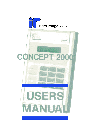

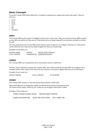# **Basic Concepts**

To use the Concept 2000 system effectively it is helpful to understand six simple terms used in the system. These six terms are:

- Areas
- Users
- Zones
- On
- $\Omega$
- Terminals

### *AREA*

The Concept 2000 security system is designed to protect one or more areas. When you wish the Concept 2000 to protect an area, then you need to turn that area on. When protection is no longer required for an area then you need to turn that area off.

The areas protected by the Concept 2000 system all have names so that you can recognize what they are. These names can be chosen by you so that you can easily recognize the area you are protecting.

Examples of area names are:

| <b>FRANKS SHED</b> | <b>OFFICE</b> | <b>HOUSE AND GARAGE</b>  |
|--------------------|---------------|--------------------------|
| E.D.P. CENTER      |               | WAREHOUSE ADMINISTRATION |

### *USERS*

The Concept 2000 can be operated by one or more persons who are called users.

All users, who are allowed to operate your Concept 2000 , have names so that the Concept 2000 can recognize who is using the system. These names can be chosen by you so that you can easily recognize what user you are referring to.

Examples of user names are:

FRANK THRING SALLY FIELDS ALAN BOND

### *ZONES*

The Concept 2000 protects an Area with special alarm detectors called Zones.

These alarm detectors are designed to register un-authorized movement in the protected Area. The Zones all have names, chosen by you, so that you can recognize which Zone is which.

Example of Zone names are :-

FAMILY ROOM SLIDING DOOR FRANKS SHED WINDOW

COMPUTER ROOM PIR REAR FIRE EXIT DOOR LIFT LOBBY PIR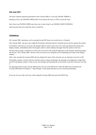### *ON And OFF*

The most common operation performed on the Concept 2000 is a User (eg. FRANK THRING ) turning an Area ( eg. FRANKS SHED) either On to protect the Area, or Off to access the Area.

Each Area ( eg. FRANKS SHED) may have one or more Zones ( eg. FRANKS SHED WINDOW) used to protect that Area when the Area is turned On.

#### *TERMINAL*

All Concept 2000 operations, such as turning On and Off Areas, are carried out at a Terminal.

The Concept 2000 may have up to eight (8) Terminals connected and any Terminal may be used to operate the system.

A terminal is referred to in two parts, the keypad which is used to enter your User code and operate the system and a display window, immediately above the keypad, which is used to display messages from the system to the User.

The first step in using a Terminal is to enter your own secret code using the digit keys on the keypad, and then pressing the OK key. The Concept 2000 will now work out who you are and greet you by displaying your name in the display window.

After a few seconds the Concept 2000 will now display the name of the Area that you are allowed to turn On or Off.

The display window is used to tell you what the system is doing. Sometimes the message to be displayed is larger than will fit in the display window. If this occurs, the message will automatically scroll slowly to the left so that you can read it.

An important feature of the Concept 2000 panel is the use of the HELP key. When the HELP key is pressed, the Concept 2000 panel will display a " help message" on the panel operation you are currently performing.

If you are not sure what to do next, when using the Concept 2000, then press the HELP key.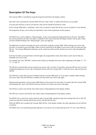# **Description Of The Keys**

The Concept 2000 is controlled by using the keypad located below the display window.

Each time a key is pressed the Concept 2000 will emit a short "beep" to indicate that the key was accepted.

You may press the keys as fast as you like but, only one key should be pressed at a time.

If the Concept 2000 emits a "long beep" when a key is pressed it means that the key was not accepted or is not allowed. The keypad has 20 keys, all of which are listed below with a brief explanation of their purpose,

The HELP key is used to display a "help message", on the current operation being performed, by the user. The HELP key can be pressed at any time. If no help is available on the current item then the display window will not alter. When you have finished looking at the "help message", press any digit key.

The digit keys are used for entering your secret code before using the Concept 2000. When entering your secret code, you have 15 seconds to press each digit. When you have entered all of the digits of your secret code, you must press the OK key. No Concept 2000 panel operations can be carried out until you have entered your secret code and pushed the OK key.

Each key has letters associated letters with the digits. By using familiar words, these letters can be used to help you remember your secret code.

For example; the word "FRANK" could be used to help you remember the secret code comprising of the digits "2", "6", "1", "5" and "4"

The OK key is pressed after you have entered your secret code. You have 15 seconds to press the OK key once you have completed entering your secret code. Pressing the OK key tells the Concept 2000 to check the secret code you have just entered.

The END key is used when you have finished using the Concept 2000 panel, or if you make a mistake whilst entering your secret code. Once the END key is pushed, you must enter your secret code again.

During normal operations, if the Concept 2000 detects no key presses for more than 15 seconds, then the Concept 2000 will automatically "press" the END key and you will have to re-enter your secret code again.

The ON key is used to turn On the Area whose name is being displayed in the display window.

The OFF key is used to turn Off the Area whose name is being displayed in the display window.

The MENU key is used if you wish to perform other Concept 2000 operations apart from turning Areas On or Off. (Of course you must have already entered your secret code plus the OK key.)

When the MENU key is pushed, the Concept 2000 will list, in the display window, the other operations you are allowed to perform.

The MENU key is not used during normal operation. If you press it by accident then press the "O" key or the END key.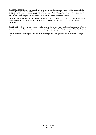The LEFT and RIGHT arrow keys are optionally used during normal operations to control scrolling messages in the display window. Each time the LEFT arrow is pushed, the scrolling message will start again from the beginning. If the scrolling is too fast, or too slow, use the RIGHT arrow to step the message one letter at a time, or, hold down the RIGHT arrow to speed up the scrolling message. Most scrolling messages will scroll 3 times.

You do not need to use these keys during scrolling messages if you do not want to. The speed of scrolling messages is set to your reading rate and when the scrolling message reaches the end it will start again, from the beginning automatically.

The UP and DOWN arrow keys are normally used by persons who are allowed to turn On or off more than one Area. If the Area name in the display window is not the Area you wish to turn On or Off then, pressing the UP or DOWN arrows repeatedly, the display window will show the names of all Areas that this User is allowed to operate.

The UP and DOWN arrow keys are also used in other Concept 2000 panel operations such as Review and Change Codes.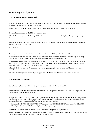# **Operating your System**

## *3.1 Turning An Area On Or Off*

The most common operation of the Concept 2000 panel is turning On or Off Areas. To turn On or Off an Area you must first enter your secret code then press the OK key.

As the digits of your secret code are entered the display window will show each digit as a "#" character:

If you make a mistake, press the END key and start again.

After the OK key is pressed, the Concept 2000 will work out who you are and will display a short greeting message such as:

After a few seconds, the Concept 2000 will work out and display which Area you would normally turn On and Off and whether that Area is currently On or Off.

For example:

You may now press either the ON key to turn the Area On, or the OFF key to turn the Area Off.

If you do not wish to turn the Area On or Off, you may finish panel operations by pressing the END key, or you may press the MENU key to perform other panel operations. (See "Other panel Operations")

Some Users may be allowed to control more than one Area. If you can control more than one Area, and the Area name shown on the display is not the Area you wish to control, then by pressing the up or DOWN arrow keys, the Concept 2000 will display all of the Area you are allowed to turn On or Off.

Alternatively, if you know the Area number you wish to operate, simply press the number of the Area you wish to control.

When the Area being shown is correct, you may press the ON key or the OFF key to turn On or Off that Area.

### *3.2 Multiple Area User*

Some Users may be asked which Area they wish to operate and the display window will show:

The second line of the display window will show all the Areas that you are allowed to turn On or Off. Simply press the number of the Area you wish to operate.

When an Area is turned On, the Concept 2000 will first check all of the Zones that are used to protect that Area and see that they are currently ready to be armed. (Sealed) If there is a problem with any Zone, the Concept 2000 will display the name of the faulty Zone so that the User may go and rectify the problem.

• For example; if "FRANKS SHED WINDOW' was open when "FRANK THRING" went to turn On "FRANKS SHED", then the Concept 2000 would display the following message:

"FRANKS SHED WINDOW is un-sealed. Please secure zone and press ON or press END"

FRANK THRING must go and shut the window and then try again by pressing ON. If FRANK took too long in shutting the window, he may have to start again by re-entering his User code.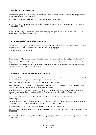### *3.3 Isolating Zones On Exit*

Some Users may be allowed to Isolate the un-sealed Zone which will then prevent the Zone from detecting movement for the period that the Area is turned On.

If FRANK THRING was allowed to Isolate Zones then the display would show:

! "FRANKS SHED WINDOW is un-sealed. Please secure zone and press ON or isolate this zone by pressing OK. Press END to abort"

FRANK THRING may go and shut the window and then try again by pressing ON or FRANK can Isolate FRANKS SHED WINDOW by pressing the OK key.

#### *3.4 Turning On/Off More Than One Area*

Some Users, who can operate more than one Area, may wish to turn On or Off all their Areas at once. This can be done by pushing the LEFT or RIGHT arrow keys when an Area is being displayed.

The display window will now show:

By pressing the ON key, all Areas you are allowed to control will automatically turn On, one by one, if they are Off.

By pressing the OFF key, all Areas you are allowed to control will automatically turn Off, one by one, if they are On.

If some of the Areas are already Off or On, then the Terminal will "beep" and the display window will show that the "Area is already Off", or, the "Area is already On".

#### *3.5 SPECIAL AREAS - AREA 0 AND AREA 9*

The Concept 2000 has ten (10) Areas which may all be turned both On and Off. These Areas are numbered from 0 to 9 and all have names so that you can easily recognize which Areas they are.

Area 0 and Area 9 are two special Areas that are normally turned On at all times.

Area 0 is often named "TAMPER AREA" whilst Area 9 is often named "SYSTEM AREA". Both of these Areas are used to protect the Concept 2000 from any un-authorized tampering.

If an alarm occurs in Area 0 or Area 9, then the Area may be turned Off to silence the sirens if they are sounding. If sirens are not sounding, then you needn't turn Off the Area but rather just acknowledge the Alarm. (See "Acknowledging alarms" )

A User must be able to control Area 0 and Area 9 before "Tamper Area" or "System Area" alarms can be acknowledged.

You must remember to turn Area 0 and Area 9 back On. If they are not turned On, the Concept 2000 will be vulnerable to tampering and SYSTEM SECURITY WILL BE SEVERELY COMPROMISED.

When turning on Area 0 or Area 9, any problems will be displayed if they are present.

DO NOT TURN ON AREA 0 OR AREA 9 IF A PROBLEM IS DISPLAYED, WITHOUT FIRST RECTIFYING THE PROBLEM.

• Note: If the OK key is pressed, when a problem is displayed, you will cause an alarm immediately which may sound the sirens.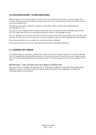## *3.6 ACKNOWLEDGING ALARM MESSAGES*

When an alarm occurs in an Area which is turned On, the Concept 2000 will often display an alarm message on the Terminal. The alarm message will identify the name of the Zone which caused the alarm and the name of the Area that contains the alarmed Zone.

The alarm message will be continuously displayed, in the display window, until the alarm message has been acknowledged by a User.

Any User can acknowledge the alarm message as long as that User can control the Area in which the alarm occurred. The User simply enters their secret code and then presses the OK key to acknowledge the alarm.

The User will often want to turn the Area Off so that he/she can gain access. Because you need to enter your secret code and press OK before you can turn the Area Off, any alarm messages for that Area will be automatically acknowledged.

If more than one alarm occurs in a single Area, only the last Alarm is displayed.

If alarms occur in more than one Area, then each alarm needs to be acknowledged separately.

### *3.7 TURNING OFF SIRENS*

If an alarm occurs in an Area that is programmed to sound the sirens, the sirens will sound for 10 minutes (or the time set by the Installer) before turning Off automatically. The sirens can be turned Off earlier by any User simply entering their secret code and pressing the OK key as long as that User is allowed to operate the Area which caused the sirens to sound.

#### IMPORTANT; THE SYSTEM HAS NOT BEEN TURNED OFF.

YOU HAVE ONLY TURNED THE SIRENS OFF. IF ANOTHER ALARM OCCURS THEN THE SIRENS WILL OPERATE AGAIN. YOU MUST TURN THE AREA WHICH CAUSED THE ALARM OFF TO PREVENT FURTHER SIREN ACTIVATIONS.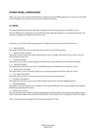# **OTHER PANEL OPERATIONS**

When your secret code is entered and the OK key is pushed, the Concept 2000 assumes that you wish to turn On or Off an Area. Sometimes you may wish to perform some other panel operation.

### *4.1 MENU*

To perform another panel operation, other than turning On or Off Areas, you must press the MENU key first.

When the MENU key is pushed, the Concept 2000 will display what other operations you are allowed to perform. The operations available may be different from User to User.

Listed below are all of the possible panel operations available other than the turning On and Off of Areas:

#### • 0 AREA ON/OFF

This option will return the User from the Menu options back to Area On/Off operations.

• 1 REVIEW PAST EVENTS.

This option is used to inspect the Concept 2000 memory to see, for example, what alarms have occurred or who has been turning On or Off Areas.

#### • 2 CHANGE CODES.

This option is used to alter or delete existing User codes in the Concept 2000 system or to add new User codes.

- 3 ISOLATE ZONES This option allows individual Zones in the Concept 2000 system to be isolated prior to turning On an Area.
- 4 WALK-TEST AN AREA

This option allows a User to Walk-test an Area so as to check the operation of all Zones within the system.

#### • 5 SET TIME AND DATE.

This option allows the User to set the Time and the Date for the Concept 2000 system.

• 6 ENABLE DEADMAN.

This option allows the User to turn on and off the Deadman feature. (See "Using the Deadman facility")

• 7 PROGRAMMING.

This facility is not used in the day to day operations of the Concept 2000 system and is only accessible by the Installer during the programming of the system.

• 8 MENU CALL-BACK.

This will cause the Concept 2000 to dial the pre-programmed Call-Back number used to contact the Installer's Service Center. Only use this option when instructed by the Installer. Only the Master User or Installer can operate this option.

\*Note: You may go back to turning On or Off Areas by pressing the "0" key.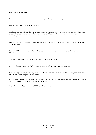# **REVIEW MEMORY**

Review is used to inspect what your system has been up to while you were not using it.

After pressing the MENU key, press the "1" key.

The display window will now show the last item which was entered in the review memory. The first line will show the date and time, to the nearest second, that the event occurred. The second line will show the actual event and will often be scrolling.

Use the UP arrow to go backwards through review memory and inspect earlier events. One key- press of the UP arrow is one review event.

Use the DOWN arrow to go forward through review memory and inspect more recent events. One key -press of the DOWN arrow is one review event.

The LEFT and RIGHT arrows can be used to control the scrolling if you wish.

Each time the LEFT arrow is pushed, the scrolling message will start again from the beginning.

If the scrolling is too fast, or too slow, use the RIGHT arrow to step the message one letter at a time, or hold down the RIGHT arrow to speed up the scrolling message.

When you are finished using the Review facility, press the END key if you are finished using the Concept 2000, or press the MENU key to perform another Concept 2000 function.

\*Note: At any time the user may press HELP for help on review.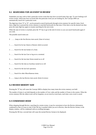### *5.1 SEARCHING FOR AN EVENT IN REVIEW*

Sometimes you may wish to find a particular review event that may have occurred many days ago. To save looking at all review events, which may have occurred after the particular event you are looking for, the Concept 2000 can automatically search for a particular event.

The digit keys from "0" to "8" can be pressed to search backwards through review memory for specific items. Each time a digit key is pressed the review memory is searched backwards for that item. If the item is not the desired one then press the same digit key again to resume searching for the next event.

When the start of review is reached, press the "8" key to go to the end of review so you can search backwards again if you wish.

The possible search items are:

- 0 …… Jump to the first Review item saved. (Start of review)
- 1 ……. Search for he last Alarm or Restore which occurred.
- 2 ……. Search for the last Isolate of a Zone.
- 3 ……. Search for the last User to log on to a terminal.
- 4 ……. Search for the last time Sirens turned on or off
- 5 ……. Search for the time an Auxiliary turned on or off.
- 6 ……. Search for the last lock operation.
- 7 ……. Search for other Miscellaneous items.
- 8 ……. Jump to the last Review item saved. (End of review)

#### *5.2 REVIEW MEMORY SIZE*

Pressing the "9" key will cause the Concept 2000 to display how many items the review memory can hold.

The number of items it can hold depends on the number of User codes and the number of Zones in the system. When the review memory fills the oldest event will be forgotten, on an event by event basis, each time a new event is saved.

#### *5.3 CONDENSED MODE*

When skipping through Review, searching for certain events, it may be convenient to have the Review information condensed so that it is easy to read. If the OK key is pushed whilst you are in Review, then the Review format, in the display window, will be condensed with no scrolling messages.

Pressing the OK key a second time will cause the normal Review format to be displayed.

C2000 User Manual Page 10 of 26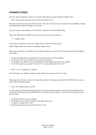# **CHANGE CODES**

All Users who are allowed to operate your Concept 2000 panel are issued numbers from000 to 016.

• Note: Some systems may allow up to 96 Users and others to 512.

Each User has their own name and their own secret code. One of the Users has to be given the responsibility of setting up and making the required changes to User codes.

The User with this responsibility is User 000 and is referred to as the MASTER USER.

When User 000 presses the MENU key, one of the options available to him/her is:-

"2 = Change Codes"

If Users are to be altered, or more Users added, then User 000 selects this option.

When Change Codes is first entered, the display window shows:

Either enter the specific User number to alter, using the digit keys, or press the OK key to proceed with the displayed User number.

- For the following options, pressing the OK key will advance to the next question
- Pressing the LEFT arrow will go back to the previous question.
- Pressing the UP or DOWN arrows will display the current question for other User numbers.
- For Yes/No questions, press the "9" key for "Yes" and any other digit key for "No".
- Note: A "No" is displayed as a "Blank".

After selecting a User number to inspect or alter, the first item to enter is the User's name.

This option allows the User's name to be inspected or altered. The digit keys and the LEFT & RIGHT arrows can be used to alter the displayed name.

• Note: The example used is User 002.

To select a letter, press the appropriate digit key where the desired letter appears. Press this key repeatedly until the correct letter is displayed. Press the RIGHT arrow to advance to the next letter or the LEFT arrow to go back to the previous letter.

- Pressing the OFF key clears the display.
- Pressing the ON key clears the display to the right of the cursor.
- A "space" is located with "9" key.
- Miscellaneous punctuation is located with the "0" key.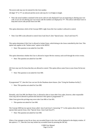The secret code may now be entered for this User number.

All digits "0" to "9" are allowed and the secret code may be 1 to 8 digits in length.

• Note: the actual numbers contained in the secret code are only displayed if you are inspecting or altering your won code. If you are not altering your own secret code the numbers are displayed as "#". This allows individual Users to keep their secret code private from User 000.

This option determines which of the Concept 2000's eight Areas this User number is allowed to control.

• Note: User 000 is also allowed to control Area 0 and Area 9. (See "Special areas - Area 0 and Area 9")

This option determines if this User is allowed to Isolate Zones, which belong to the Areas controlled by this User. This option only applies to the "Isolate zones" option in the MENU.

• Note: This question is not asked for User 000.

This option determines whether this User is allowed to inspect Review memory and scroll through the review events.

• Note: This question not asked for User 000

All Users may turn On Areas that they are allowed to control. This option allows some Users to turn Areas On but not Off.

• Note: This question is not asked for User 000.

If programmed "Y", then this User can turn On the Deadman alarm feature. (See "Using the Deadman facility")

• Note: This question not asked for User 000.

Normally, only User 000, the Master User, is allowed to alter or issue other User codes, however, other responsible Users may also be allowed to perform this function if this option is programmed "Y".

Other Users given this privilege may never alter User 000 or User 001.

• This question not asked for User 000.

The Concept 2000 has two special Areas called Area 0 and Area 9. Answering "Y" to this option allows this User to operate these special Areas. (See "Special Areas- Area 0 and Area 9")

• Note: This question not asked for User 000.

When a User attempts to turn On an Area, any un-sealed Zones in the Area will be displayed in the display window. If this option is "Y", then this User may Isolate any un-sealed Zones by pressing the OK key.

> C2000 User Manual Page 12 of 26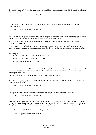If this option is set to "N", then the Area with the un-sealed Zones cannot be turned On by this User until the offending Zones are secured.

• Note: This question not asked for User 000

This option determines whether this User is allowed to perform Walk-testing of Areas under his/her control. (See "Walk-testing an Area")

• Note: This question not asked for User 000

Your Concept 2000 may have been configured to include up to 5 different time zones which may b employed to prevent certain Users from using the system outside the times specified by the time zones.

If a "Y" appears under one of the five time zone digits, then this User code will only operate during the hours programmed to that time zone.

A User may be associated with more than one time zone. When more than one time zone is selected, then the User code will operate during any of the time zones specified. Check with your Installer as to whether time zones have been set up.

For example:

Time zone #1 - 09:00 AM to 17:00 PM, Mondays to Fridays.

Time zone #2 - 10:00 AM to 13:00 PM, Saturdays only.

• Note: This question not asked for User 000.

This option is normally set to "Y". This will cause the Concept 2000 to assume that the Area you wish to turn On or Off is the Area that you would commonly operate from the Terminal at which you are standing and where you have just entered your secret code.

Your Installer will set up what common Areas relate to each Terminal location.

If this User is only allowed to un-lock doors and not allowed to turn On or Off Areas, then answer "Y" to this question. (See "Operating door-locks")

• Note: This question not asked for User 000

This option has been set aside for future expansion of the Concept 2000. Leave this option set to "N".

• Note: This question not asked for User 000

Any User number, with the exception of User 000, may be defined as a Duress code. A Duress code works identically to a normal User code, with the exception that a Duress alarm is raised, which may optionally contact a Central Station. Every User may have their own Duress code, or alternatively, a few User codes may be set aside as common Duress codes.

- For example: 999,00000,11444, or something less obvious.
- Note: This question not asked for User 000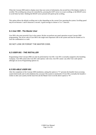When the Concept 2000 needs to display more than one screen of information, the second line of the display window is scrolled. The scrolling may always be controlled by, pressing the LEFT arrow to re-start scrolling, or the RIGHT arrow to scroll letter by letter. Holding the RIGHT arrow pressed will speed up the scrolling.

This option allows the default scrolling rate to alter depending on the current User operating the system. Scrolling speed may be set between 1 and 8 characters a second. A good average to choose is 5 to 7 chars/sec.

#### *6.1 User 999 - The Master User*

User 999 is the most powerful User in the system. He/she can perform any panel operation except Concept 2000 programming. The secret code of User 000 is the single most important code in the system and must be treated as if it were the combination to a vault.

DO NOT LOSE OR FORGET THE MASTER CODE.

### *6.2 USER 001 - THE INSTALLER*

Programming of the Concept 2000 can only be performed by User 001. User 001 is normally assigned to the Installing Company. User 000 cannot alter User 001 code options. Like-wise, User 001 cannot any other User code options although can access Programming options ect.

#### *6.3 DIS-ABLE USER 001*

After the completion of the Concept 2000 installation, setting this option to "Y" prevents the Installer from accessing system both locally and via the telephone line, (except if the system is monitored). If User 001 ( normally the Installer ) wishes to alter your system, he/she must first ask the Master User to set the above option to "N".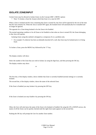# **ISOLATE ZONE/INPUT**

Certain Users may be allowed to Isolate Zones via the Concept 2000 's MENU options

• Note: To Isolate a Zone the Area(s) which that Zone is in, must be OFF.

When a Zone is Isolated and the Area containing that Zone is turned On, the Zone will be ignored for the rest of the time that the Area remains On. When the Area is turned OFF again, the Isolated Zone will automatically be re-installed and no longer be ignored.

The opposite for a Zone being Isolated is for the Zone to be Enabled.

The normal operating condition is for all Zones to be Enabled so that when an Area is turned ON, the Zones belonging to that Area will operate.

Isolating Zones using this method is designed as a temporary fix to a problem only.

• For example: If a detector has been accidentally knocked off a wall, that Zone may be Isolated prior to it being fixed.

To Isolate a Zone, press the MENU key followed by the "3" key.

The display window will show:

Select the number of the Zone that you wish to Isolate, by using the digit keys, and then pressing the OK key.

The display window may show:

or

The first line, of the display window, shows whether that Zone is currently Enabled (normal setting) or is currently Isolated.

The second line, of the display window, shows the name of the selected Zone.

If the Zone is Enabled you may Isolate it by pressing the OFF key.

If the Zone is Isolated you may Enable it by pressing the ON key.

Often, the User will only know the name of the Zone to be Isolated or Enabled. By using the UP or DOWN arrows, the names of all the Zones can be quickly checked until the right Zone name appears on the second line.

Pushing the OK key will prompt the User for another Zone number.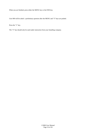When you are finished, press either the MENU key or the END key.

User 000 will be asked a preliminary question after the MENU and "3" keys are pushed.

Press the "1" key.

The "2" key should only be used under instruction from your Installing company.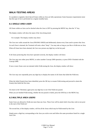# **WALK-TESTING AREAS**

It is prudent to regularly check that all Zones within an Area are fully operational, Some Insurance requirements insist that this type of test is performed on a regular monthly basis.

### *8.1 SINGLE AREA USER*

All Zones within an Area can be checked when the Area is OFF by pressing the MENU key, then the "4" key.

The display window will show the mane of the Area being tested.

For example: The display window may show:

The User now walks around the Area (FRANKS SHED) and deliberately alarms every Zone used to protect that Area. As each Zone is alarmed, the Terminal will emit a short "beep". You may take as long as you like to Walk-test an Area. When all Zones have been alarmed, the User now presses any digit key on the key-pad.

If all Zones protecting that Area have operated correctly, the display window will show:

The User may now either press MENU, to select another Concept 2000 operation, or press END if finished with the Concept 2000.

If one or more Zones were not alarmed whilst Walk-testing the Area, the display window will show:

The User may now repeatedly press any digit key to display the names of all Zones that failed the Walk-test.

When the failed Zone(s) have been identified, press the OK key to resume Walk-testing and proceed to alarm the Zone(s) that failed the first time.

On return to the T4erminal, again press any digit key to see if the Walk-test passed.

When you are finished Walk-testing, whether the test passed or failed, press the END key or the MENU key.

### *8.2 MULTIPLE AREA USERS*

Some Users are allowed to Walk-test more than one Area. These User will be asked which Area they wish to test proir to the start of the Walk-test'

The second line, of the display window, will list all the Areas which may be Walk-tested by this User.

Simply press a digit key corresponding to the Area you wish to test and follow the same procedures listed for a single Area User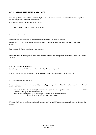# **ADJUSTING THE TIME AND DATE.**

The Concept 2000's Time and Date can be set by the Master User. Some Central Stations will automatically perform this task for you when the system is monitored.

First press the MENU key, followed by the "5" key.

• Note: Only User 000 may perform this function.

The display window will show:

The second line shows the time, to the nearest minute, when Set time/date was entered.

By using the LEFT arrow, the RIGHT arrow and the digit keys, the time and date may be adjusted to the correct settings.

Now press the OK key to save the new time and date.

At the instant the OK key is pushed, the seconds are set to zero and the Concept 2000 automatically returns the User to the menu.

#### *9.1 CLOCK CORRECTION*

Sometimes, the Concept 2000 clock maybe running slightly fast or slightly slow.

The clock can be corrected by pressing the UP or DOWN arrow keys when setting the time and date.

The display window will now show:

The current clock correction can be adjusted by repeatedly pressing the UP or DOWN arrow keys to achieve the desired amount of seconds.

- For example: If the clock is running fast by 10 seconds per week then adjust the current clock correction down by 10 seconds a week. (-10 s
- If the clock is running slow by 10 seconds per week then adjust the current clock correction up by 10 seconds a week.  $(+ 10 \text{ secs})$

When the clock corr4ection has been adjusted, press the LEFT or RIGHT arrow keys to go back to the set time and date display.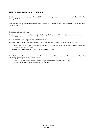# **USING THE DEADMAN TIMERS**

The Deadman facility is used so the Concept 2000 system can "keep an eye" on personnel working in the vicinity of a Concept 2000 Terminal.

The Deadman facility can either be enabled or dis-enabled, on a per terminal basis, by first pressing MENU, followed by the "6" key.

The display window will show:

The User may now select which Terminal(s) in the Concept 2000 system will have the Deadman facility enabled by placing a "Y" under the respective Terminal number

If no Deadman facility is required, then set all Terminals to "N".

When the Deadman facility has been enabled for one or more Terminals, those Terminals will act as follows:

• If the Terminals with Deadman enabled do not have had a valid User. code entered for at least 30 minutes, all Terminals, with the Deadman

facility enabled, will continuously "beep" and display the message:

If a valid User code is not entered at any of the Deadman Terminals within 60 seconds, a Deadman alarm will be raised which may optionally report to a Central Station.

• Note: The 30 minute time, referred to above, is programmed by your Installer to be any time period between 1 minute and 4 hours, 15 minutes.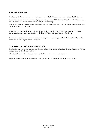# **PROGRAMMING**

The Concept 2000 is an extremely powerful system that will be fulfilling security needs well into the  $21<sup>st</sup>$  Century.

This versatility is the result of thousands of programming options available throughout the Concept 2000 system and, as a result, this module is usually restricted for use by the Installer only.

The Installer, User 001, has the same system access levels as the Master User, User 000, and has the added feature of being able to program the system.

It is strongly recommended that, once the Installation has been completed, the Master User prevents any further unauthorized changes to the programming by "locking Out" User 001. (See "Dis-able User 001")

If your Installer is required to make any authorized changes to programming, the Master User must enable User 001 before the Installer can gain access to the system.

### *11.1 REMOTE SERVICE DIAGNOSTICS*

The Installer may service and program your Concept 2000 over the telephone line by dialing into the system. This is a very powerful service diagnostics facility.

When User 001 is dis-abled, remote service over the telephone line cannot be performed.

Again, the Master User would have to enable User 001 before any remote programming can be effected.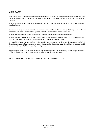## *CALL-BACK*

The Concept 2000 system stores several telephone numbers in its memory that are programmed by the Installer. These telephone numbers are used, by the Concept 2000, to communicate alarms to Central Stations or to Private telephone numbers.

It is recommended that the Concept 2000 always be connected to the telephone line so that Remote service diagnostics may be effected.

The system is designed to be connected to an "external" telephone line so that the Concept 2000 may be dialed directly. Sometimes, this is not possible and the system is connected to an extension from a switchboard.

In other circumstances, the system is connected to the same telephone line as a facsimile machine.

In both cases, the Concept 2000 can make outward calls without difficulty, however, there may be problems with the Concept 2000 answering incoming calls when Remote service diagnostics are required.

The switchboard extension may not have "indial" capabilities, (You cannot ring directly to the extension.) and both the facsimile machine may be programmed to answe4 the phone after the very first ring. Both of these circumstances will prevent the Concept 2000 from answering the telephone.

By pressing the MENU key, followed by the "\*" key, the Concept 2000 will automatically call the pre-programmed Call-back number and establish communications with the Installer's service center.

DO NOT USE THIS FEATURE UNLESS INSTRUCTED BY YOUR INSTALLER.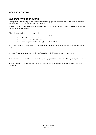# **ACCESS CONTROL**

## *13.1 OPERATING DOOR-LOCKS*

Concept 2000 Terminals may be installed to control electrically operated door locks. Your alarm Installer can advise you on the full Access Control capabilities of the system.

The electric door lock is operated by pressing the OK key a second time, when the Concept 2000 Terminal is displayed an Area name to turn On or Off.

The electric lock will only operate if:-

- The Area the lock provides access to is currently turned Off.
- The User is allowed to control that Area.
- The User is using the Terminal next to lock.
- The User is within the permitted Time Zone(s), (See "User Codes")

If a User is defined as a "Lock only user" (See "User codes"), then the OK key does not have to be pushed a second time.

When the electric lock operates, the display window will show the following message for 5 seconds:-

If the electric lock is allowed to operate at this time, the display window will show the following message for 5 seconds:-

Whether the electric lock operates or not, you must enter your secret code again if you wish to perform other panel operations.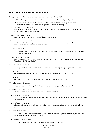# **GLOSSARY OF ERROR MESSAGES**

Below, is a glossary of common error messages that can occur in the Concept 2000 system:

"User dis-abled. Memory not configured to store this User. Memory must be re-configured by Installer."

• A User number was selected that the Concept 2000 has not been allocated memory space to save. The Installer must use the Code configuration option to allocate more memory.

"Code duplication. This code erased"

• When entering a new secret code for a User, a code was chosen that is already being used. You must choose another code not used by any other User.

"Incorrect code. Please try again"

• A User was entered that was not recognized by the Concept 2000.

"Enter your code to prevent alarm"

• The Terminal that this message appears on has been set for Deadman operation. Any valid User code must be entered at this Terminal to prevent a Deadman alarm.

"Installer code dis-abled"

• The Installer (User 001), has entered their code, but User 000 has dis-abled the code using the "Dis-able User 001" option in "User codes".

"Access denied. Time violation"

• A legal User code has been entered but this code has been set to only operate during certain time zones. (See "Time Zones" in "Change Codes")

"Too many tries. Wait 60 seconds."

• Too many illegal User codes were entered. The Terminal will not recognize any key presses for 1 minute.

"Area 9 is Off"

• Area 9 (SYSTEM AREA) is currently Off. Area 9 should normally be turned On at all times.

"Area 0 is Off"

• Area 0 (TAMPER AREA) is currently Off. Area 0 should normally be On at all times.

"Power has failed to Control unit"

• A.C. power to the main Concept 2000 Control unit is not connected, or has been turned Off.

"Power has failed to Remote unit"

• A.C. power to a Remote unit is not connected, or has been turned Off.

"Battery is low in Control unit"

• The main Control unit internal back-up Battery is low. Less than 30 minutes remain before the Concept 2000 will totally shut-down.

"Battery is low in Remote unit"

• A Remote unit internal back-up Battery is low. Less than 30 minutes remain before the remote unit will not function.

"-Warning - Lost module"

• The Concept 2000 has ceased communicating with a Terminal or Zone Expansion card due to problems. The Installer must be called to rectify the problem.

"Can't walk-test. Area must be Off."

• The Walk-testing of an Area was attempted without turning the Area Off first.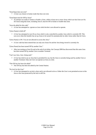"Zone/Input does not exist"

• A Zone was chosen in Isolate mode that does not exist.

"Zone/Input must be Off by Areas"

• An attempt was made to Isolate or Enable a Zone, whilst at least one or more Areas which use that Zone are On. All Areas using that Zone, including Area 0, must be Off to Isolate or Enable that Zone.

"Area dis-abled for this code"

• A User has attempted to operate an Area which he/she is not allowed to operate.

"(Area Name) is held off"

• A User has attempted to turn On an Area which is also controlled by another Area which is currently Off. This can occur when the Installer has set up Areas to be turned On automatically by other Areas rather than be Users.

"(Area Name) is ON. You are not allowed to access this Area."

• A User code has been entered that can only turn Areas On and the Area being viewed is currently On.

"(Area Name) has been turned Off by another User."

• After just turning an Area On and at the end of exit delay, the Concept 2000 has discovered that this same Area has been turned Off by another User at another Terminal.

"Can't use Area. Area being used."

• A User has tried to use an Area that is permitted for use, but the Area is currently being used by another User at another Terminal. Only one User can operate an Area at a time.

"The ON key has been dis-abled"

• The ON key has been dis-abled by the Central Station.

"No lock for this User"

• A User has attempted to un-lock a door and is not allowed to do so. Either the User is not permitted access to this Area or the Area protected by the lock is still On.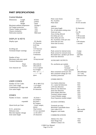# **PART SPECIFICATIONS**

Zone name length 24 characters

### Control Module

| Dimensions<br>415mm<br>Length<br>$2.3$ or $4$<br>No. of pulses<br>Width<br>$210$ mm<br>Pulse timer<br>$10-255$ seconds<br>Height<br>$73$ mm<br>50 degs C<br>Maximum ambient temperature<br><b>AREAS</b><br>Lid Tamper protection<br><b>YES</b><br>16 characters<br>Area name length<br>Chassis Tamper protection<br><b>YES</b><br>No. of individual arming areas<br>10<br>Chassis orientation<br><b>ANY</b><br>Zones per area<br>0 to 96<br>Fabrication material<br>Mild steel<br>Area overlap allowed<br><b>YES</b><br>Exit delay per area<br>$0-99$ seconds<br>Entry delay per area<br>$0-99$ seconds<br><b>DISPLAY &amp; KEYS</b><br>No. of primary zones per area<br>6<br>EL Backlit<br>Display types<br>Siren time per area<br>0-99 minutes<br>32 Character<br>Siren time accuracy<br>1 second<br>$2x16$ line<br><b>LCD</b><br><b>SIRENS</b><br>Scrolling rate<br>1-8 Chars/sec<br>Terminals beeper warnings |  |
|-------------------------------------------------------------------------------------------------------------------------------------------------------------------------------------------------------------------------------------------------------------------------------------------------------------------------------------------------------------------------------------------------------------------------------------------------------------------------------------------------------------------------------------------------------------------------------------------------------------------------------------------------------------------------------------------------------------------------------------------------------------------------------------------------------------------------------------------------------------------------------------------------------------------|--|
|                                                                                                                                                                                                                                                                                                                                                                                                                                                                                                                                                                                                                                                                                                                                                                                                                                                                                                                   |  |
|                                                                                                                                                                                                                                                                                                                                                                                                                                                                                                                                                                                                                                                                                                                                                                                                                                                                                                                   |  |
|                                                                                                                                                                                                                                                                                                                                                                                                                                                                                                                                                                                                                                                                                                                                                                                                                                                                                                                   |  |
|                                                                                                                                                                                                                                                                                                                                                                                                                                                                                                                                                                                                                                                                                                                                                                                                                                                                                                                   |  |
|                                                                                                                                                                                                                                                                                                                                                                                                                                                                                                                                                                                                                                                                                                                                                                                                                                                                                                                   |  |
|                                                                                                                                                                                                                                                                                                                                                                                                                                                                                                                                                                                                                                                                                                                                                                                                                                                                                                                   |  |
|                                                                                                                                                                                                                                                                                                                                                                                                                                                                                                                                                                                                                                                                                                                                                                                                                                                                                                                   |  |
|                                                                                                                                                                                                                                                                                                                                                                                                                                                                                                                                                                                                                                                                                                                                                                                                                                                                                                                   |  |
|                                                                                                                                                                                                                                                                                                                                                                                                                                                                                                                                                                                                                                                                                                                                                                                                                                                                                                                   |  |
|                                                                                                                                                                                                                                                                                                                                                                                                                                                                                                                                                                                                                                                                                                                                                                                                                                                                                                                   |  |
|                                                                                                                                                                                                                                                                                                                                                                                                                                                                                                                                                                                                                                                                                                                                                                                                                                                                                                                   |  |
|                                                                                                                                                                                                                                                                                                                                                                                                                                                                                                                                                                                                                                                                                                                                                                                                                                                                                                                   |  |
|                                                                                                                                                                                                                                                                                                                                                                                                                                                                                                                                                                                                                                                                                                                                                                                                                                                                                                                   |  |
|                                                                                                                                                                                                                                                                                                                                                                                                                                                                                                                                                                                                                                                                                                                                                                                                                                                                                                                   |  |
|                                                                                                                                                                                                                                                                                                                                                                                                                                                                                                                                                                                                                                                                                                                                                                                                                                                                                                                   |  |
|                                                                                                                                                                                                                                                                                                                                                                                                                                                                                                                                                                                                                                                                                                                                                                                                                                                                                                                   |  |
| 0.1 second<br>Peak current for internal sirens<br>4 amps                                                                                                                                                                                                                                                                                                                                                                                                                                                                                                                                                                                                                                                                                                                                                                                                                                                          |  |
| 1.0 second<br>Peak current for external sirens<br>4 amps                                                                                                                                                                                                                                                                                                                                                                                                                                                                                                                                                                                                                                                                                                                                                                                                                                                          |  |
| Continuous<br>$2x8$ ohm<br>Recommd max. speakers per driver                                                                                                                                                                                                                                                                                                                                                                                                                                                                                                                                                                                                                                                                                                                                                                                                                                                       |  |
| Siren fuse detection<br><b>YES</b>                                                                                                                                                                                                                                                                                                                                                                                                                                                                                                                                                                                                                                                                                                                                                                                                                                                                                |  |
| 20<br>Number of keys                                                                                                                                                                                                                                                                                                                                                                                                                                                                                                                                                                                                                                                                                                                                                                                                                                                                                              |  |
| Maximum code entry speed<br>10 keys/second<br><b>AUXILIARY OUTPUTS</b>                                                                                                                                                                                                                                                                                                                                                                                                                                                                                                                                                                                                                                                                                                                                                                                                                                            |  |
| <b>Terminal dimensions</b>                                                                                                                                                                                                                                                                                                                                                                                                                                                                                                                                                                                                                                                                                                                                                                                                                                                                                        |  |
| Flush<br>185x120x10<br>No. auxiliaries per module                                                                                                                                                                                                                                                                                                                                                                                                                                                                                                                                                                                                                                                                                                                                                                                                                                                                 |  |
| Surface<br>185x120x31<br>Control                                                                                                                                                                                                                                                                                                                                                                                                                                                                                                                                                                                                                                                                                                                                                                                                                                                                                  |  |
| $\overline{c}$<br>User character set<br>A to Z capitals<br>$\overline{c}$                                                                                                                                                                                                                                                                                                                                                                                                                                                                                                                                                                                                                                                                                                                                                                                                                                         |  |
| Terminal<br>0 to 9 digits<br>8                                                                                                                                                                                                                                                                                                                                                                                                                                                                                                                                                                                                                                                                                                                                                                                                                                                                                    |  |
| Zone expander<br># & ' () * + , - ./                                                                                                                                                                                                                                                                                                                                                                                                                                                                                                                                                                                                                                                                                                                                                                                                                                                                              |  |
| Maxi sustained current per Aux<br>200 milliamps<br>:; $\lt =$ > ? @                                                                                                                                                                                                                                                                                                                                                                                                                                                                                                                                                                                                                                                                                                                                                                                                                                               |  |
| Max sustained voltage per Aux<br>13.7 volts                                                                                                                                                                                                                                                                                                                                                                                                                                                                                                                                                                                                                                                                                                                                                                                                                                                                       |  |
| Auxiliary protection<br>Detector Fuse<br>space                                                                                                                                                                                                                                                                                                                                                                                                                                                                                                                                                                                                                                                                                                                                                                                                                                                                    |  |
| <b>OTHER INPUTS</b>                                                                                                                                                                                                                                                                                                                                                                                                                                                                                                                                                                                                                                                                                                                                                                                                                                                                                               |  |
| <b>USER CODES</b>                                                                                                                                                                                                                                                                                                                                                                                                                                                                                                                                                                                                                                                                                                                                                                                                                                                                                                 |  |
| Low battery detection<br><b>YES</b>                                                                                                                                                                                                                                                                                                                                                                                                                                                                                                                                                                                                                                                                                                                                                                                                                                                                               |  |
| Number of User Codes<br>96 or 480 (512)<br>A.C. mains fail detection<br><b>YES</b>                                                                                                                                                                                                                                                                                                                                                                                                                                                                                                                                                                                                                                                                                                                                                                                                                                |  |
| 1 to 8 digits<br>User Code Length<br>LAN fuse detection<br><b>YES</b>                                                                                                                                                                                                                                                                                                                                                                                                                                                                                                                                                                                                                                                                                                                                                                                                                                             |  |
| Combinations of 8 digit code<br>100 million<br><b>YES</b><br>Detector fuse detection                                                                                                                                                                                                                                                                                                                                                                                                                                                                                                                                                                                                                                                                                                                                                                                                                              |  |
| User name length<br>16 characters<br><b>YES</b><br>Siren fuse detection                                                                                                                                                                                                                                                                                                                                                                                                                                                                                                                                                                                                                                                                                                                                                                                                                                           |  |
| <b>YES</b><br>Siren tamper detection                                                                                                                                                                                                                                                                                                                                                                                                                                                                                                                                                                                                                                                                                                                                                                                                                                                                              |  |
|                                                                                                                                                                                                                                                                                                                                                                                                                                                                                                                                                                                                                                                                                                                                                                                                                                                                                                                   |  |
|                                                                                                                                                                                                                                                                                                                                                                                                                                                                                                                                                                                                                                                                                                                                                                                                                                                                                                                   |  |
| Terminal cabinet tamper<br><b>YES</b><br><b>ZONES</b>                                                                                                                                                                                                                                                                                                                                                                                                                                                                                                                                                                                                                                                                                                                                                                                                                                                             |  |
| <b>YES</b><br>Control Module tamper                                                                                                                                                                                                                                                                                                                                                                                                                                                                                                                                                                                                                                                                                                                                                                                                                                                                               |  |
| Number of Zones<br>standard<br>$16$ Zones $+$<br>Zone Expansion module tamper<br><b>YES</b>                                                                                                                                                                                                                                                                                                                                                                                                                                                                                                                                                                                                                                                                                                                                                                                                                       |  |
| 16 Tampers                                                                                                                                                                                                                                                                                                                                                                                                                                                                                                                                                                                                                                                                                                                                                                                                                                                                                                        |  |
| $96$ Zones +<br>expanded<br><b>ACCESS CONTROL</b>                                                                                                                                                                                                                                                                                                                                                                                                                                                                                                                                                                                                                                                                                                                                                                                                                                                                 |  |
| 96 Tampers                                                                                                                                                                                                                                                                                                                                                                                                                                                                                                                                                                                                                                                                                                                                                                                                                                                                                                        |  |
| 3 (seal, tamper,<br>Alarm levels per Zone<br>Terminals per door<br>1                                                                                                                                                                                                                                                                                                                                                                                                                                                                                                                                                                                                                                                                                                                                                                                                                                              |  |
| alarm)<br>8<br>Maximum controllable doors                                                                                                                                                                                                                                                                                                                                                                                                                                                                                                                                                                                                                                                                                                                                                                                                                                                                         |  |
| Dual resistor<br>E.O.L. protection<br>User codes (512)<br>480 useable<br>Debounce time<br>0.5 sec maximum<br>Magnetic card reader<br>Optional                                                                                                                                                                                                                                                                                                                                                                                                                                                                                                                                                                                                                                                                                                                                                                     |  |

#### COMMUNICATIONS

| Ademco Ext. Fast    | <b>YES</b> |
|---------------------|------------|
| Inner Range Fast    | YES.       |
| Ademco Contact I.D. | <b>YES</b> |

C2000 User Manual Page 25 of 26